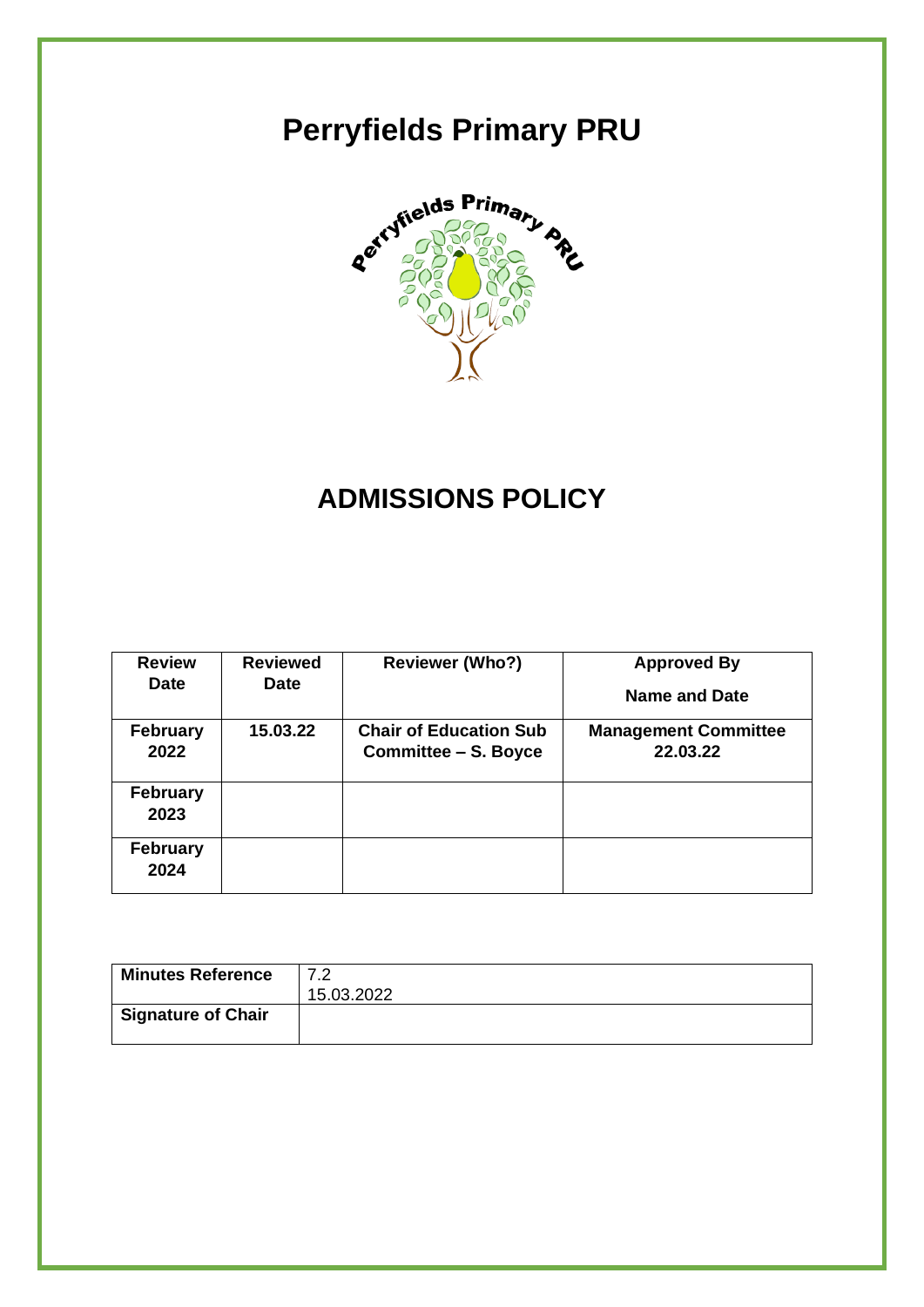# **Perryfields Primary PRU**



## **ADMISSIONS POLICY**

| <b>Review</b>           | <b>Reviewed</b> | <b>Reviewer (Who?)</b>        | <b>Approved By</b>          |
|-------------------------|-----------------|-------------------------------|-----------------------------|
| <b>Date</b>             | <b>Date</b>     |                               | Name and Date               |
| <b>February</b>         | 15.03.22        | <b>Chair of Education Sub</b> | <b>Management Committee</b> |
| 2022                    |                 | <b>Committee – S. Boyce</b>   | 22.03.22                    |
| <b>February</b><br>2023 |                 |                               |                             |
| <b>February</b><br>2024 |                 |                               |                             |

| <b>Minutes Reference</b>  | 7.2        |
|---------------------------|------------|
|                           | 15.03.2022 |
| <b>Signature of Chair</b> |            |